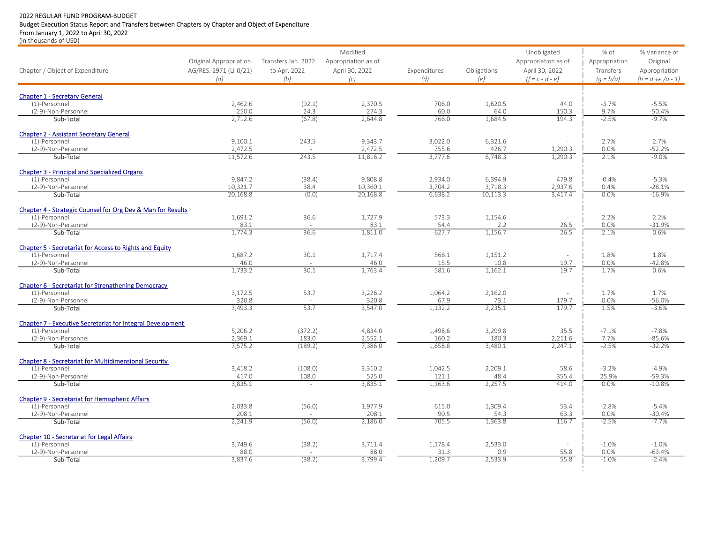## 2022 REGULAR FUND PROGRAM-BUDGET

## Budget Execution Status Report and Transfers between Chapters by Chapter and Object of Expenditure

From January 1, 2022 to April 30, 2022

(in thousands of USD)

|                                                                      |                        |                     | Modified            |                  |                 | Unobligated         | $%$ of          | % Variance of        |
|----------------------------------------------------------------------|------------------------|---------------------|---------------------|------------------|-----------------|---------------------|-----------------|----------------------|
|                                                                      | Original Appropriation | Transfers Jan. 2022 | Appropriation as of |                  |                 | Appropriation as of | Appropriation   | Original             |
| Chapter / Object of Expenditure                                      | AG/RES. 2971 (LI-0/21) | to Apr. 2022        | April 30, 2022      | Expenditures     | Obligations     | April 30, 2022      | Transfers       | Appropriation        |
|                                                                      | (a)                    | (b)                 | (c)                 | (d)              | (e)             | $(f = c - d - e)$   | $(a = b/a)$     | $(h = d + e/a - 1)$  |
|                                                                      |                        |                     |                     |                  |                 |                     |                 |                      |
| <b>Chapter 1 - Secretary General</b><br>(1)-Personnel                | 2,462.6                | (92.1)              | 2,370.5             | 706.0            | 1,620.5         | 44.0                | $-3.7%$         | $-5.5%$              |
| (2-9)-Non-Personnel                                                  | 250.0                  | 24.3                | 274.3               | 60.0             | 64.0            | 150.3               | 9.7%            | $-50.4%$             |
| Sub-Total                                                            | 2,712.6                | (67.8)              | 2,644.8             | 766.0            | 1,684.5         | 194.3               | $-2.5%$         | $-9.7%$              |
| <b>Chapter 2 - Assistant Secretary General</b>                       |                        |                     |                     |                  |                 |                     |                 |                      |
| (1)-Personnel                                                        | 9,100.1                | 243.5               | 9,343.7             | 3,022.0          | 6,321.6         | ÷.                  | 2.7%            | 2.7%                 |
| (2-9)-Non-Personnel                                                  | 2,472.5                |                     | 2,472.5             | 755.6            | 426.7           | 1,290.3             | 0.0%            | $-52.2%$             |
| Sub-Total                                                            | 11,572.6               | 243.5               | 11,816.2            | 3,777.6          | 6,748.3         | 1,290.3             | 2.1%            | $-9.0%$              |
| <b>Chapter 3 - Principal and Specialized Organs</b>                  |                        |                     |                     |                  |                 |                     |                 |                      |
| (1)-Personnel                                                        | 9,847.2                | (38.4)              | 9,808.8             | 2,934.0          | 6,394.9         | 479.8               | $-0.4%$         | $-5.3%$              |
| (2-9)-Non-Personnel                                                  | 10,321.7               | 38.4                | 10,360.1            | 3,704.2          | 3,718.3         | 2,937.6             | 0.4%            | $-28.1%$             |
| Sub-Total                                                            | 20,168.8               | (0.0)               | 20,168.8            | 6,638.2          | 10,113.3        | 3.417.4             | 0.0%            | $-16.9%$             |
| Chapter 4 - Strategic Counsel for Org Dev & Man for Results          |                        |                     |                     |                  |                 |                     |                 |                      |
| (1)-Personnel                                                        | 1,691.2                | 36.6                | 1,727.9             | 573.3            | 1,154.6         | $\sim$              | 2.2%            | 2.2%                 |
| (2-9)-Non-Personnel                                                  | 83.1                   |                     | 83.1                | 54.4             | 2.2             | 26.5<br>76.5        | 0.0%            | $-31.9%$             |
| Sub-Total                                                            | 1.774.3                | 36.6                | 1.811.0             | 627.7            | 1.156.7         |                     | 2.1%            | 0.6%                 |
| Chapter 5 - Secretariat for Access to Rights and Equity              |                        |                     |                     |                  |                 |                     |                 |                      |
| (1)-Personnel                                                        | 1,687.2                | 30.1                | 1,717.4             | 566.1            | 1,151.2         | $\sim$              | 1.8%            | 1.8%                 |
| (2-9)-Non-Personnel<br>Sub-Total                                     | 46.0<br>1,733.2        | 30.1                | 46.0<br>1,763.4     | 15.5<br>581.6    | 10.8<br>1,162.1 | 19.7<br>19.7        | 0.0%<br>1.7%    | $-42.8%$<br>0.6%     |
|                                                                      |                        |                     |                     |                  |                 |                     |                 |                      |
| Chapter 6 - Secretariat for Strengthening Democracy<br>(1)-Personnel | 3,172.5                | 53.7                | 3,226.2             | 1,064.2          | 2,162.0         | $\sim$              | 1.7%            | 1.7%                 |
| (2-9)-Non-Personnel                                                  | 320.8                  |                     | 320.8               | 67.9             | 73.1            | 179.7               | 0.0%            | $-56.0%$             |
| Sub-Total                                                            | 3,493.3                | 53.7                | 3,547.0             | 1,132.2          | 2,235.1         | 179.7               | 1.5%            | $-3.6%$              |
| <b>Chapter 7 - Executive Secretariat for Integral Development</b>    |                        |                     |                     |                  |                 |                     |                 |                      |
| (1)-Personnel                                                        | 5,206.2                | (372.2)             | 4,834.0             | 1,498.6          | 3,299.8         | 35.5                | $-7.1%$         | $-7.8%$              |
| (2-9)-Non-Personnel                                                  | 2,369.1                | 183.0               | 2,552.1             | 160.2            | 180.3           | 2,211.6             | 7.7%            | $-85.6%$             |
| Sub-Total                                                            | 7,575.2                | (189.2)             | 7.386.0             | 1,658.8          | 3,480.1         | 2,247.1             | $-2.5%$         | $-32.2%$             |
| <b>Chapter 8 - Secretariat for Multidimensional Security</b>         |                        |                     |                     |                  |                 |                     |                 |                      |
| (1)-Personnel                                                        | 3,418.2                | (108.0)             | 3,310.2             | 1,042.5          | 2,209.1         | 58.6                | $-3.2%$         | $-4.9%$              |
| (2-9)-Non-Personnel<br>Sub-Total                                     | 417.0<br>3,835.1       | 108.0<br>$\sim$     | 525.0<br>3,835.1    | 121.1<br>1,163.6 | 48.4<br>2,257.5 | 355.4<br>414.0      | 25.9%<br>0.0%   | $-59.3%$<br>$-10.8%$ |
|                                                                      |                        |                     |                     |                  |                 |                     |                 |                      |
| <b>Chapter 9 - Secretariat for Hemispheric Affairs</b>               |                        |                     |                     |                  |                 |                     |                 |                      |
| (1)-Personnel<br>(2-9)-Non-Personnel                                 | 2,033.8<br>208.1       | (56.0)              | 1.977.9<br>208.1    | 615.0<br>90.5    | 1,309.4<br>54.3 | 53.4<br>63.3        | $-2.8%$<br>0.0% | $-5.4%$<br>$-30.4%$  |
| Sub-Total                                                            | 2,241.9                | (56.0)              | 2,186.0             | 705.5            | 1,363.8         | 116.7               | $-2.5%$         | $-7.7%$              |
|                                                                      |                        |                     |                     |                  |                 |                     |                 |                      |
| Chapter 10 - Secretariat for Legal Affairs<br>(1)-Personnel          | 3,749.6                | (38.2)              | 3,711.4             | 1,178.4          | 2,533.0         | ÷.                  | $-1.0%$         | $-1.0%$              |
| (2-9)-Non-Personnel                                                  | 88.0                   |                     | 88.0                | 31.3             | 0.9             | 55.8                | 0.0%            | $-63.4%$             |
| Sub-Total                                                            | 3,837.6                | (38.2)              | 3,799.4             | 1,209.7          | 2,533.9         | 55.8                | $-1.0%$         | $-2.4%$              |
|                                                                      |                        |                     |                     |                  |                 |                     |                 |                      |